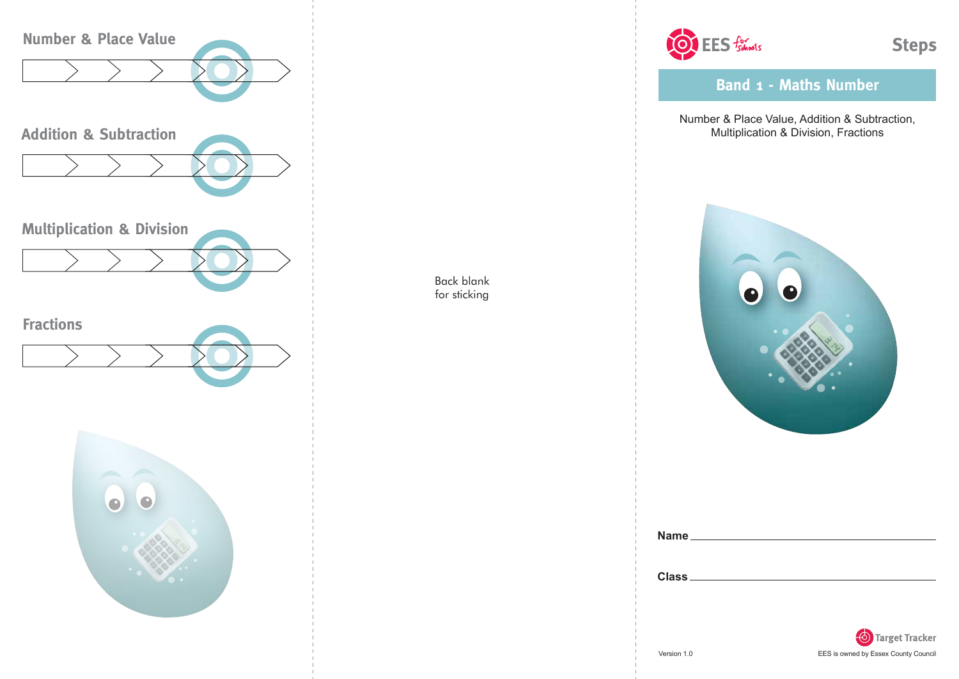

Back blank for sticking



**Band 1 - Maths Number**

Number & Place Value, Addition & Subtraction, Multiplication & Division, Fractions



| Name.        |  |  |
|--------------|--|--|
|              |  |  |
| <b>Class</b> |  |  |
|              |  |  |